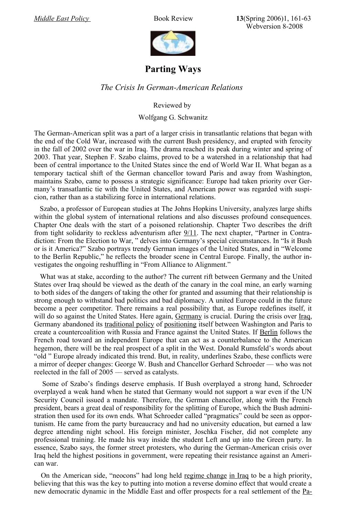*Middle East Policy* Book Review **13**(Spring 2006)1, 161-63 Webversion 8-2008



## **Parting Ways**

## *The Crisis In German-American Relations*

Reviewed by

## Wolfgang G. Schwanitz

The German-American split was a part of a larger crisis in transatlantic relations that began with the end of the Cold War, increased with the current Bush presidency, and erupted with ferocity in the fall of 2002 over the war in Iraq. The drama reached its peak during winter and spring of 2003. That year, Stephen F. Szabo claims, proved to be a watershed in a relationship that had been of central importance to the United States since the end of World War II. What began as a temporary tactical shift of the German chancellor toward Paris and away from Washington, maintains Szabo, came to possess a strategic significance: Europe had taken priority over Germany's transatlantic tie with the United States, and American power was regarded with suspicion, rather than as a stabilizing force in international relations.

Szabo, a professor of European studies at The Johns Hopkins University, analyzes large shifts within the global system of international relations and also discusses profound consequences. Chapter One deals with the start of a poisoned relationship. Chapter Two describes the drift from tight solidarity to reckless adventurism after  $9/11$ . The next chapter, "Partner in Contradiction: From the Election to War, " delves into Germany's special circumstances. In "Is it Bush or is it America?" Szabo portrays trendy German images of the United States, and in "Welcome to the Berlin Republic," he reflects the broader scene in Central Europe. Finally, the author investigates the ongoing reshuffling in "From Alliance to Alignment."

What was at stake, according to the author? The current rift between Germany and the United States over Iraq should be viewed as the death of the canary in the coal mine, an early warning to both sides of the dangers of taking the other for granted and assuming that their relationship is strong enough to withstand bad politics and bad diplomacy. A united Europe could in the future become a peer competitor. There remains a real possibility that, as Europe redefines itself, it will do so against the United States. Here again, [Germany](http://www.trafoberlin.de/pdf-dateien/Schwanitz_neu/Joern Thielmann Islam in Germany.pdf) is crucial. During the crisis over [Iraq,](http://www.trafoberlin.de/pdf-dateien/Schwanitz_neu/Bernd W Kubbig Brandherd Irak.pdf) Germany abandoned its [traditional](http://www.trafoberlin.de/pdf-dateien/Germany Middle East Policy MERIA 2007.pdf) policy of [positioning](http://www.trafoberlin.de/pdf-Neu/Amerika Mittelost Europa das deutsche Beispiel.pdf) itself between Washington and Paris to create a countercoalition with Russia and France against the United States. If [Berlin](http://www.trafoberlin.de/pdf-dateien/Primaere Mittelostpolitik des Friedens in Berlin gefragt.pdf) follows the French road toward an independent Europe that can act as a counterbalance to the American hegemon, there will be the real prospect of a split in the West. Donald Rumsfeld's words about "old " Europe already indicated this trend. But, in reality, underlines Szabo, these conflicts were a mirror of deeper changes: George W. Bush and Chancellor Gerhard Schroeder –– who was not reelected in the fall of 2005 –– served as catalysts.

Some of Szabo's findings deserve emphasis. If Bush overplayed a strong hand, Schroeder overplayed a weak hand when he stated that Germany would not support a war even if the UN Security Council issued a mandate. Therefore, the German chancellor, along with the French president, bears a great deal of responsibility for the splitting of Europe, which the Bush administration then used for its own ends. What Schroeder called "pragmatics" could be seen as opportunism. He came from the party bureaucracy and had no university education, but earned a law degree attending night school. His foreign minister, Joschka Fischer, did not complete any professional training. He made his way inside the student Left and up into the Green party. In essence, Szabo says, the former street protesters, who during the German-American crisis over Iraq held the highest positions in government, were repeating their resistance against an American war.

On the American side, "neocons" had long held regime [change](http://www.kas.de/db_files/dokumente/auslandsinformationen/7_dokument_dok_pdf_9280_1.pdf) in [Iraq](http://www.kas.de/db_files/dokumente/auslandsinformationen/7_dokument_dok_pdf_9280_1.pdf) to be a high priority, believing that this was the key to putting into motion a reverse domino effect that would create a new democratic dynamic in the Middle East and offer prospects for a real settlement of the [Pa-](http://www.trafoberlin.de/pdf-dateien/Galia Golan Friedenspapiere Nahost.pdf)